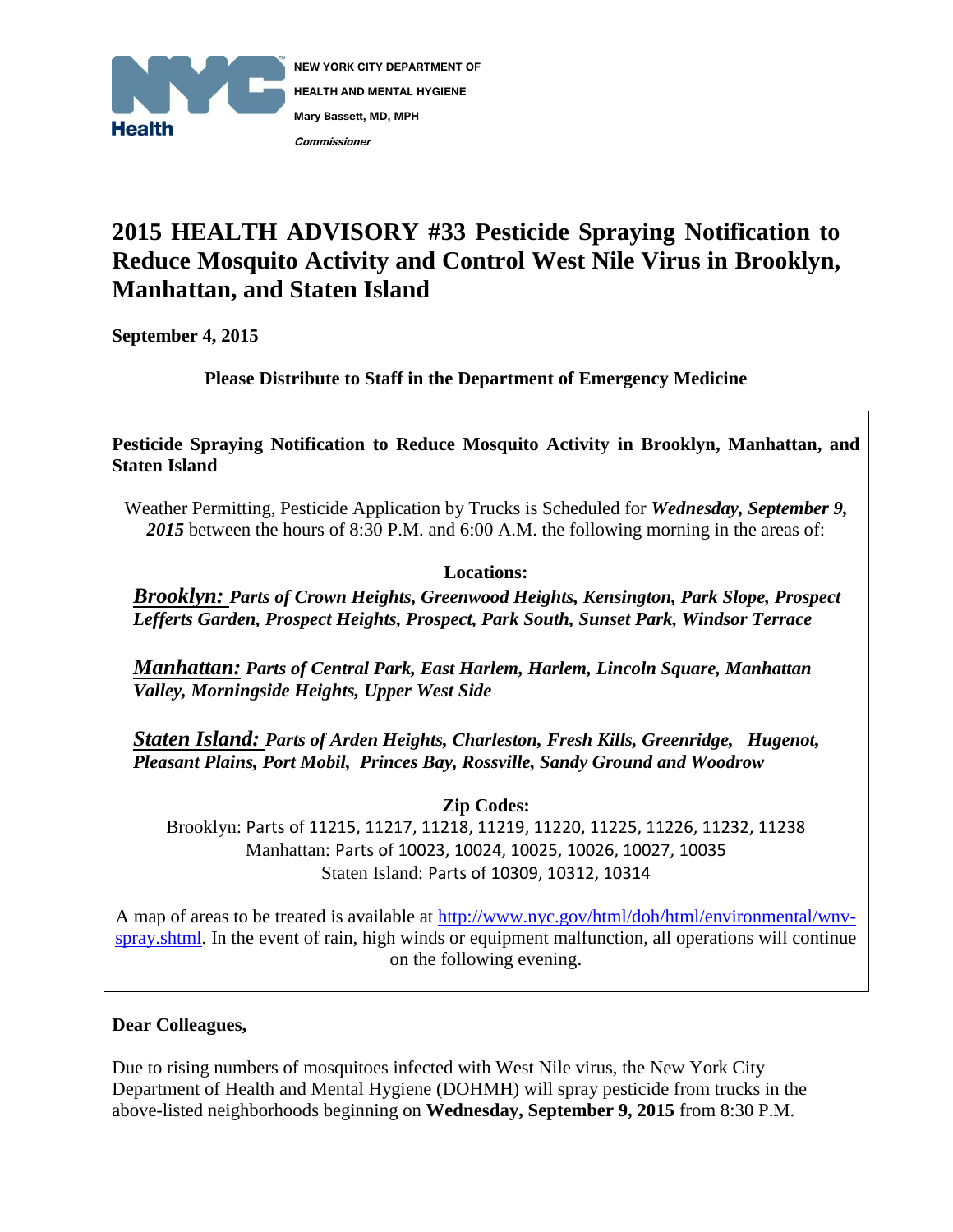

## **2015 HEALTH ADVISORY #33 Pesticide Spraying Notification to Reduce Mosquito Activity and Control West Nile Virus in Brooklyn, Manhattan, and Staten Island**

**September 4, 2015**

**Please Distribute to Staff in the Department of Emergency Medicine**

**Pesticide Spraying Notification to Reduce Mosquito Activity in Brooklyn, Manhattan, and Staten Island**

Weather Permitting, Pesticide Application by Trucks is Scheduled for *Wednesday, September 9, 2015* between the hours of 8:30 P.M. and 6:00 A.M. the following morning in the areas of:

## **Locations:**

*Brooklyn: Parts of Crown Heights, Greenwood Heights, Kensington, Park Slope, Prospect Lefferts Garden, Prospect Heights, Prospect, Park South, Sunset Park, Windsor Terrace*

*Manhattan: Parts of Central Park, East Harlem, Harlem, Lincoln Square, Manhattan Valley, Morningside Heights, Upper West Side*

*Staten Island: Parts of Arden Heights, Charleston, Fresh Kills, Greenridge, Hugenot, Pleasant Plains, Port Mobil, Princes Bay, Rossville, Sandy Ground and Woodrow*

**Zip Codes:** 

Brooklyn: Parts of 11215, 11217, 11218, 11219, 11220, 11225, 11226, 11232, 11238 Manhattan: Parts of 10023, 10024, 10025, 10026, 10027, 10035 Staten Island: Parts of 10309, 10312, 10314

A map of areas to be treated is available at [http://www.nyc.gov/html/doh/html/environmental/wnv](http://www.nyc.gov/html/doh/html/environmental/wnv-spray.shtml)[spray.shtml.](http://www.nyc.gov/html/doh/html/environmental/wnv-spray.shtml) In the event of rain, high winds or equipment malfunction, all operations will continue on the following evening.

## **Dear Colleagues,**

Due to rising numbers of mosquitoes infected with West Nile virus, the New York City Department of Health and Mental Hygiene (DOHMH) will spray pesticide from trucks in the above-listed neighborhoods beginning on **Wednesday, September 9, 2015** from 8:30 P.M.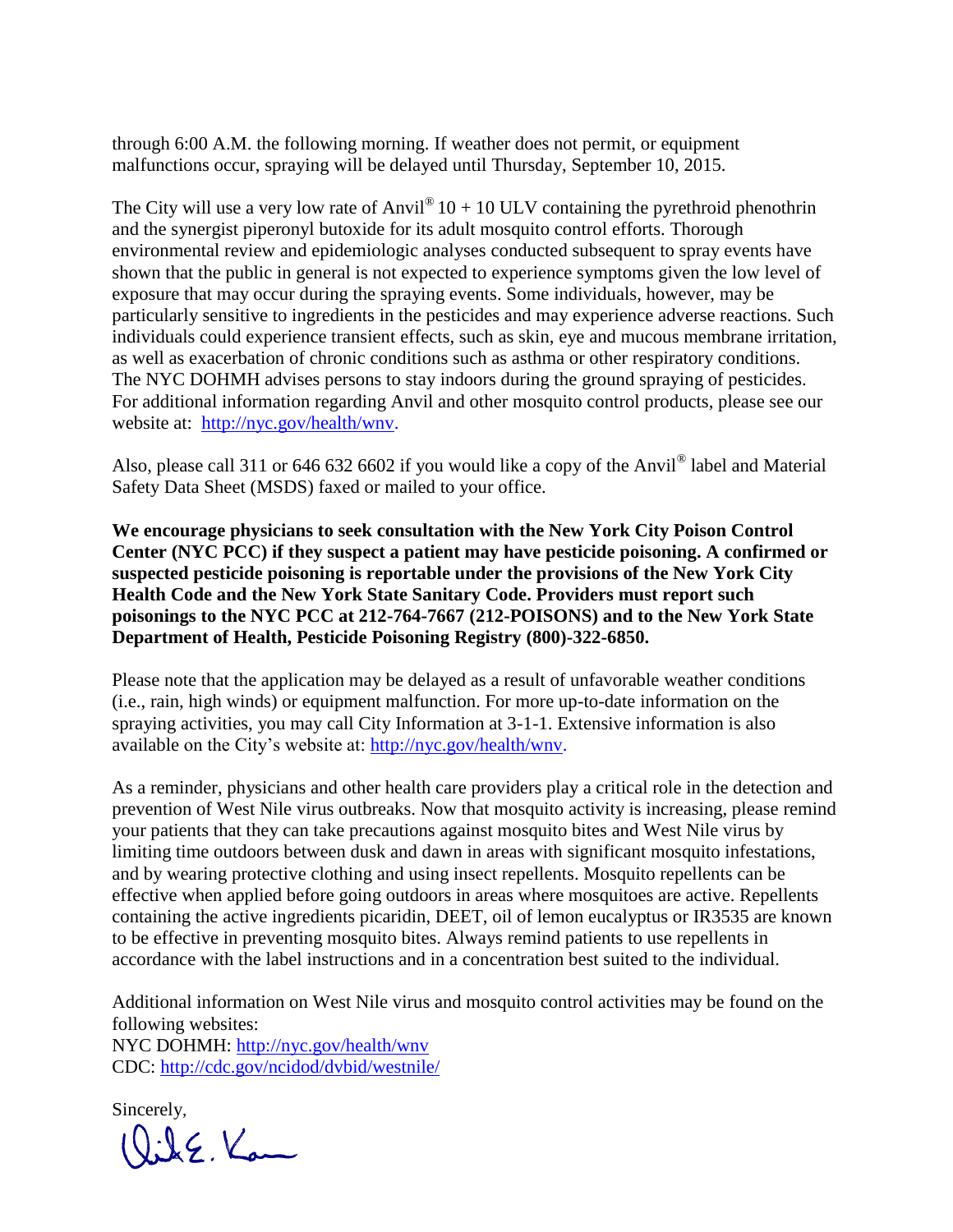through 6:00 A.M. the following morning. If weather does not permit, or equipment malfunctions occur, spraying will be delayed until Thursday, September 10, 2015.

The City will use a very low rate of Anvil<sup>®</sup>  $10 + 10$  ULV containing the pyrethroid phenothrin and the synergist piperonyl butoxide for its adult mosquito control efforts. Thorough environmental review and epidemiologic analyses conducted subsequent to spray events have shown that the public in general is not expected to experience symptoms given the low level of exposure that may occur during the spraying events. Some individuals, however, may be particularly sensitive to ingredients in the pesticides and may experience adverse reactions. Such individuals could experience transient effects, such as skin, eye and mucous membrane irritation, as well as exacerbation of chronic conditions such as asthma or other respiratory conditions. The NYC DOHMH advises persons to stay indoors during the ground spraying of pesticides. For additional information regarding Anvil and other mosquito control products, please see our website at: [http://nyc.gov/health/wnv.](http://nyc.gov/health/wnv)

Also, please call 311 or 646 632 6602 if you would like a copy of the Anvil<sup>®</sup> label and Material Safety Data Sheet (MSDS) faxed or mailed to your office.

**We encourage physicians to seek consultation with the New York City Poison Control Center (NYC PCC) if they suspect a patient may have pesticide poisoning. A confirmed or suspected pesticide poisoning is reportable under the provisions of the New York City Health Code and the New York State Sanitary Code. Providers must report such poisonings to the NYC PCC at 212-764-7667 (212-POISONS) and to the New York State Department of Health, Pesticide Poisoning Registry (800)-322-6850.**

Please note that the application may be delayed as a result of unfavorable weather conditions (i.e., rain, high winds) or equipment malfunction. For more up-to-date information on the spraying activities, you may call City Information at 3-1-1. Extensive information is also available on the City's website at: [http://nyc.gov/health/wnv.](http://nyc.gov/health/wnv)

As a reminder, physicians and other health care providers play a critical role in the detection and prevention of West Nile virus outbreaks. Now that mosquito activity is increasing, please remind your patients that they can take precautions against mosquito bites and West Nile virus by limiting time outdoors between dusk and dawn in areas with significant mosquito infestations, and by wearing protective clothing and using insect repellents. Mosquito repellents can be effective when applied before going outdoors in areas where mosquitoes are active. Repellents containing the active ingredients picaridin, DEET, oil of lemon eucalyptus or IR3535 are known to be effective in preventing mosquito bites. Always remind patients to use repellents in accordance with the label instructions and in a concentration best suited to the individual.

Additional information on West Nile virus and mosquito control activities may be found on the following websites: NYC DOHMH:<http://nyc.gov/health/wnv> CDC:<http://cdc.gov/ncidod/dvbid/westnile/>

Sincerely,

Qik E. Kam